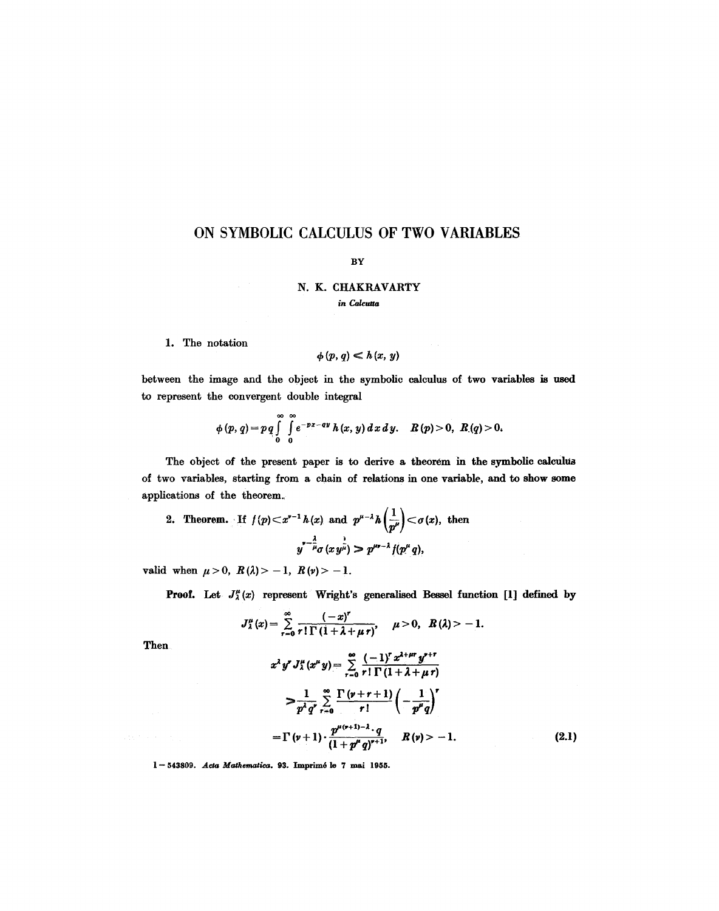# **ON SYMBOLIC CALCULUS OF TWO VARIABLES**

#### BY

### N. K. CHAKRAVARTY *in Calcutta*

#### 1. The notation

$$
\phi(p,q)\ll h(x,y)
$$

between the image and the object in the symbolic calculus of two variables is used to represent the convergent double integral

$$
\phi(p, q) = pq \int_{0}^{\infty} \int_{0}^{\infty} e^{-px - ay} h(x, y) dx dy. \quad R(p) > 0, R(q) > 0.
$$

The object of the present paper is to derive a theorem in the symbolic calculus of two variables, starting from a chain of relations in one variable, and to show some applications of the theorem.,

2. Theorem. If 
$$
f(p) < x^{v-1} h(x)
$$
 and  $p^{\mu-\lambda} h\left(\frac{1}{p^{\mu}}\right) < \sigma(x)$ , then  $y^{\mu-\frac{\lambda}{\mu}} \sigma(x y^{\frac{1}{\mu}}) > p^{\mu\nu-\lambda} f(p^{\mu} q)$ ,

valid when  $\mu > 0$ ,  $R(\lambda) > -1$ ,  $R(\nu) > -1$ .

**Proof.** Let  $J^{\mu}_{\lambda}(x)$  represent Wright's generalised Bessel function [1] defined by

$$
J_{\lambda}^{\mu}(x)=\sum_{r=0}^{\infty}\frac{(-x)^{r}}{r!\Gamma(1+\lambda+\mu r)}, \quad \mu>0, \ \ R(\lambda)>-1.
$$

Then

$$
x^{\lambda} y^{r} J_{\lambda}^{\mu} (x^{\mu} y) = \sum_{r=0}^{\infty} \frac{(-1)^{r} x^{\lambda + \mu r} y^{r+r}}{r! \Gamma(1 + \lambda + \mu r)}
$$
  
\n
$$
> \frac{1}{p^{\lambda} q^{r}} \sum_{r=0}^{\infty} \frac{\Gamma(\nu + r + 1)}{r!} \left(-\frac{1}{p^{\mu} q}\right)^{r}
$$
  
\n
$$
= \Gamma(\nu + 1) \cdot \frac{p^{\mu(\nu + 1) - \lambda} \cdot q}{(1 + p^{\mu} q)^{r+1}}, \quad R(\nu) > -1.
$$
 (2.1)

 $1-543809$ . Acta Mathematica. 93. Imprimé le 7 mai 1955.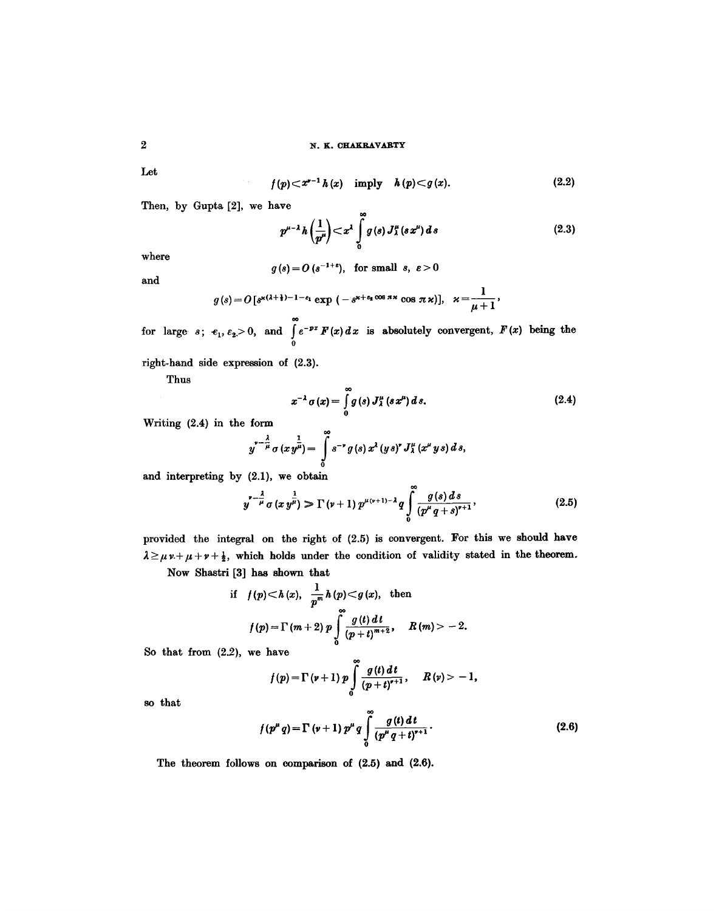Let

$$
f(p) < x^{p-1} h(x) \quad \text{imply} \quad h(p) < g(x). \tag{2.2}
$$

Then, by Gupta [2], we have

ò.

$$
p^{\mu-\lambda}h\left(\frac{1}{p^{\mu}}\right) < x^{\lambda}\int\limits_{0}^{\infty}g(s)\,J^{\mu}_{\lambda}(s\,x^{\mu})\,ds\tag{2.3}
$$

where

$$
g(s) = O\left(s^{-1+\epsilon}\right), \text{ for small } s, \epsilon > 0
$$

and

$$
g(s) = O\left[s^{\varkappa(1+\frac{1}{2})-1-\varepsilon_1}\exp\left(-s^{\varkappa+\varepsilon_2\cos\pi\varkappa}\cos\pi\varkappa\right)\right], \quad \varkappa = \frac{1}{\mu+1}.
$$

for large  $s$ ;  $\epsilon_1$ ,  $\epsilon_2 > 0$ , and  $\int_{0}^{\infty} e^{-px} F(x) dx$  is absolutely convergent,  $F(x)$  being the 0

right-hand side expression of (2.3).

Thus

$$
x^{-\lambda}\sigma(x)=\int\limits_{0}^{\infty}g(s)\,J_{\lambda}^{\mu}\left(s\,x^{\mu}\right)d\,s.\tag{2.4}
$$

Writing (2.4) in the form

$$
y^{r-\frac{\lambda}{\mu}} \sigma (x y^{\frac{1}{\mu}}) = \int_{0}^{\infty} s^{-r} g(s) x^{\lambda} (y s)^{r} J_{\lambda}^{\mu} (x^{\mu} y s) ds,
$$

and interpreting by  $(2.1)$ , we obtain

$$
y^{\prime - \frac{\lambda}{\mu}} \sigma(x y^{\frac{1}{\mu}}) \gg \Gamma(\nu + 1) p^{\mu(\nu + 1) - \lambda} q \int_{0}^{\infty} \frac{g(s) ds}{(p^{\mu} q + s)^{\nu + 1}},
$$
 (2.5)

 $\ddot{\phantom{a}}$ 

provided the integral on the right of (2.5) is convergent. For this we should have  $\lambda \geq \mu \nu + \mu + \frac{1}{2}$ , which holds under the condition of validity stated in the theorem.

Now Shastri [3] has shown that

if 
$$
f(p) < h(x)
$$
,  $\frac{1}{p^m} h(p) < g(x)$ , then  

$$
f(p) = \Gamma(m+2) p \int_{0}^{\infty} \frac{g(t) dt}{(p+t)^{m+2}}, \quad R(m) > -2.
$$

So that from (2.2), we have

$$
f(p) = \Gamma(\nu+1) p \int_{0}^{\infty} \frac{g(t) dt}{(p+t)^{r+1}}, \quad R(\nu) > -1,
$$

so that

$$
f(p^{\mu} q) = \Gamma(\nu+1) p^{\mu} q \int_{0}^{\infty} \frac{g(t) dt}{(p^{\mu} q + t)^{r+1}}.
$$
 (2.6)

The theorem follows on comparison of (2.5) and (2.6).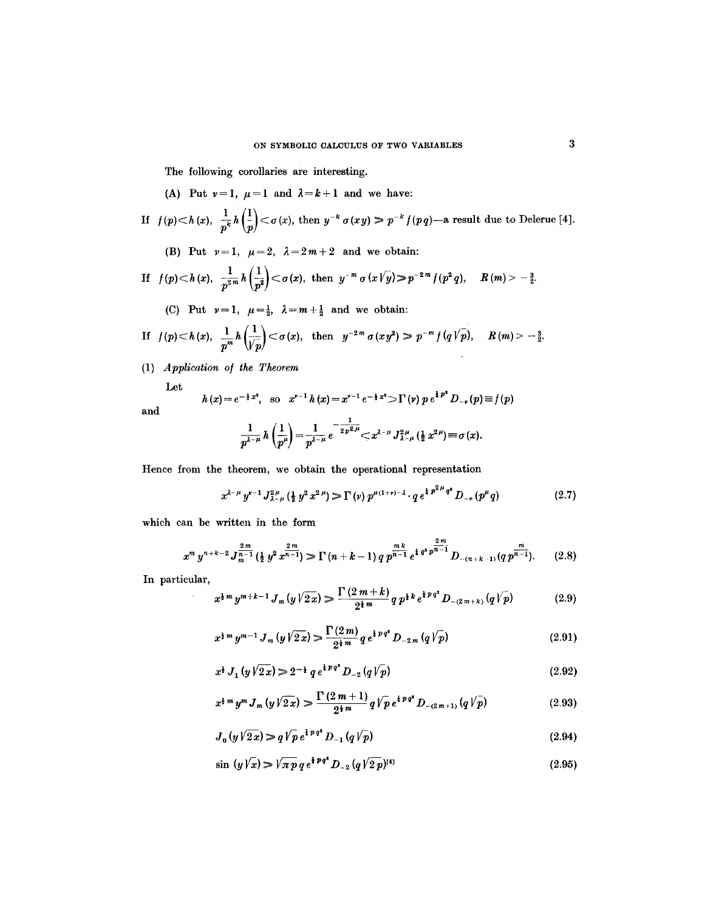The following corollaries are interesting.

(A) Put  $\nu=1$ ,  $\mu=1$  and  $\lambda=k+1$  and we have:

If 
$$
f(p) < h(x)
$$
,  $\frac{1}{p^k} h(\frac{1}{p}) < \sigma(x)$ , then  $y^{-k} \sigma(xy) > p^{-k} f(pq)$ —a result due to Delerne [4].

(B) Put  $\nu=1$ ,  $\mu=2$ ,  $\lambda=2m+2$  and we obtain:

If 
$$
f(p) < h(x)
$$
,  $\frac{1}{p^{2m}} h(\frac{1}{p^2}) < \sigma(x)$ , then  $y^{-m} \sigma(x \sqrt{y}) > p^{-2m} f(p^2 q)$ ,  $R(m) > -\frac{3}{2}$ .

(C) Put  $\nu=1$ ,  $\mu=\frac{1}{2}$ ,  $\lambda=m+\frac{1}{2}$  and we obtain:

If 
$$
f(p) \le h(x)
$$
,  $\frac{1}{p^m} h\left(\frac{1}{\sqrt{p}}\right) \le \sigma(x)$ , then  $y^{-2m} \sigma(xy^2) \ge p^{-m} f(q\sqrt{p})$ ,  $R(m) > -\frac{3}{2}$ .

(1) *Application o/ the Theorem* 

Let

and

$$
h(x) = e^{-\frac{1}{2}x^2}, \text{ so } x^{y-1}h(x) = x^{y-1}e^{-\frac{1}{2}x^2} \sum \Gamma(y) p e^{\frac{1}{2}p^2} D_{-\nu}(p) \equiv f(p)
$$

$$
\frac{1}{p^{\lambda-\mu}}h\left(\frac{1}{p^{\mu}}\right) = \frac{1}{p^{\lambda-\mu}}e^{-\frac{1}{2p^2\mu}} \leq x^{\lambda-\mu} J_{\lambda-\mu}^{2\mu}\left(\frac{1}{2}x^{2\mu}\right) \equiv \sigma(x).
$$

Hence from the theorem, we obtain the operational representation

$$
x^{\lambda-\mu} y^{\nu-1} J_{\lambda-\mu}^{2\mu} \left(\frac{1}{2} y^2 x^{2\mu}\right) \gg \Gamma\left(\nu\right) p^{\mu(1+\nu)-\lambda} \cdot q e^{\frac{1}{4} p^{2\mu} q^2} D_{-\nu} \left(p^{\mu} q\right) \tag{2.7}
$$

which can be written in the form

$$
x^m y^{n+k-2} J_{m-1}^{\frac{2m}{n-1}}(\frac{1}{2}y^2 x^{\frac{2m}{n-1}}) \ge \Gamma(n+k-1) q p^{\frac{mk}{n-1}} e^{\frac{1}{4} q^2 p^{\frac{2m}{n-1}}} D_{-(n+k-1)}(q p^{\frac{m}{n-1}}). \qquad (2.8)
$$

In particular,

 $\sim$ 

$$
x^{\frac{1}{2}m} y^{m+k-1} J_m(y \sqrt{2x}) \ge \frac{\Gamma(2m+k)}{2^{\frac{1}{2}m}} q p^{\frac{1}{2}k} e^{\frac{1}{2}p q^2} D_{-(2m+k)}(q \sqrt{p}) \tag{2.9}
$$

$$
x^{\frac{1}{2}m} y^{m-1} J_m(y \sqrt{2x}) \geqslant \frac{\Gamma(2m)}{2^{\frac{1}{2}m}} q e^{\frac{1}{2} p q^2} D_{-2m}(q \sqrt{p}) \tag{2.91}
$$

$$
x^{\frac{1}{2}} J_1(y\sqrt{2x}) \geq 2^{-\frac{1}{2}} q e^{\frac{1}{2}pq^2} D_{-2}(q\sqrt{p})
$$
\n(2.92)

$$
x^{\frac{1}{2}m} y^m J_m(y\sqrt{2x}) \geqslant \frac{\Gamma(2m+1)}{2^{\frac{1}{2}m}} q \sqrt{p} e^{\frac{1}{2}pq^2} D_{-(2m+1)}(q\sqrt{p}) \tag{2.93}
$$

$$
J_0(y\sqrt{2x}) \gg q\sqrt{p} e^{i p q^2} D_{-1}(q\sqrt{p})
$$
\n(2.94)

$$
\sin(y\sqrt{x}) \gg \sqrt{\pi p} q e^{\frac{1}{2} p q^2} D_{-2} (q \sqrt{2 p})^{[4]}
$$
\n(2.95)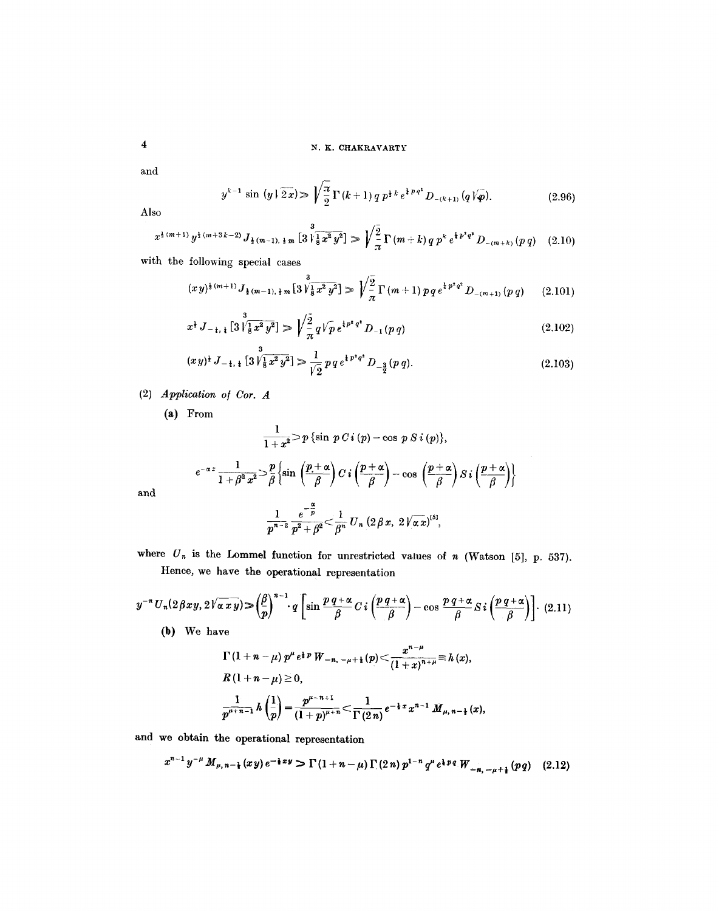and

$$
y^{k-1} \sin (y \mid \widetilde{2x}) \gg \sqrt{\frac{\pi}{2}} \Gamma(k+1) q p^{\frac{1}{2}k} e^{\frac{1}{4}pq^2} D_{-(k+1)}(q \mid \widetilde{\varphi}). \tag{2.96}
$$

Also

and

$$
x^{\frac{1}{3}(m+1)}y^{\frac{1}{3}(m+3k-2)}J_{\frac{1}{2}(m-1),\frac{1}{2}m}\left[3\sqrt{\frac{3}{8}x^2y^2}\right] \gg \sqrt{\frac{2}{\pi}}\Gamma\left(m+k\right)q\,p^k\,e^{\frac{1}{4}p^2q^2}D_{-(m+k)}\left(p\,q\right)\quad(2.10)
$$

with the following special cases

$$
(xy)^{\frac{1}{2}(m+1)} J_{\frac{1}{2}(m-1),\frac{1}{2}m} \left[ 3 \sqrt{\frac{3}{8} x^2 y^2} \right] \gg \sqrt{\frac{2}{\pi}} \Gamma(m+1) p q e^{\frac{1}{4} p^2 q^2} D_{-(m+1)}(p q) \qquad (2.101)
$$

$$
x^{\frac{1}{2}} J_{-\frac{1}{2},\frac{1}{2}}[3] \sqrt{\frac{3}{8}x^2 y^2}] \gg \sqrt{\frac{2}{\pi}} q V \overline{p} e^{\frac{1}{4} p^2 q^2} D_{-1}(p q) \tag{2.102}
$$

$$
(xy)^{\frac{1}{2}} J_{-\frac{1}{4},\frac{1}{4}} [3 \sqrt{\frac{3}{8} x^2 y^2}] \gg \frac{1}{\sqrt{2}} p q e^{\frac{1}{4} p^2 q^2} D_{-\frac{3}{2}}(p q). \tag{2.103}
$$

(2) *Application o/ Cot. A* 

(a) From

$$
\frac{1}{1+x^2} > p \{\sin p C i (p) - \cos p S i (p)\},
$$
\n
$$
e^{-\alpha z} \frac{1}{1+\beta^2 x^2} > \frac{p}{\beta} \{\sin \left(\frac{p+\alpha}{\beta}\right) C i \left(\frac{p+\alpha}{\beta}\right) - \cos \left(\frac{p+\alpha}{\beta}\right) S i \left(\frac{p+\alpha}{\beta}\right)\}
$$
\n
$$
\frac{1}{p^{n-2}} \frac{e^{-\frac{\alpha}{p}}}{p^2 + \beta^2} < \frac{1}{\beta^n} U_n (2 \beta x, 2 \sqrt{\alpha} x)^{5},
$$

where  $U_n$  is the Lommel function for unrestricted values of n (Watson [5], p. 537). Hence, we have the operational representation

$$
y^{-n}U_n(2\beta xy, 2\sqrt{\alpha xy}) \geqslant \left(\frac{\beta}{p}\right)^{n-1} q \left[\sin\frac{p q + \alpha}{\beta} C i \left(\frac{p q + \alpha}{\beta}\right) - \cos\frac{p q + \alpha}{\beta} Si\left(\frac{p q + \alpha}{\beta}\right)\right]. \tag{2.11}
$$
\n(b) We have

\n
$$
\Gamma(1 + n - \mu) p^{\mu} e^{\frac{1}{2} p} W_{-n, -\mu + \frac{1}{2}}(p) \leqslant \frac{x^{n-\mu}}{(1+x)^{n+\mu}} \equiv h(x),
$$

$$
R(1+n-\mu) \ge 0,
$$
  

$$
\frac{1}{p^{\mu+n-1}} h\left(\frac{1}{p}\right) = \frac{p^{\mu-n+1}}{(1+p)^{\mu+n}} < \frac{1}{\Gamma(2n)} e^{-\frac{1}{8}x} x^{n-1} M_{\mu,n-\frac{1}{2}}(x),
$$

and we obtain the operational representation

$$
x^{n-1}y^{-\mu}M_{\mu,n-\frac{1}{2}}(xy)e^{-\frac{1}{2}xy} \sum \Gamma(1+n-\mu)\Gamma(2n)\,p^{1-n}\,q^{\mu}e^{\frac{1}{2}pq}\,W_{-n,-\mu+\frac{1}{2}}(pq) \quad (2.12)
$$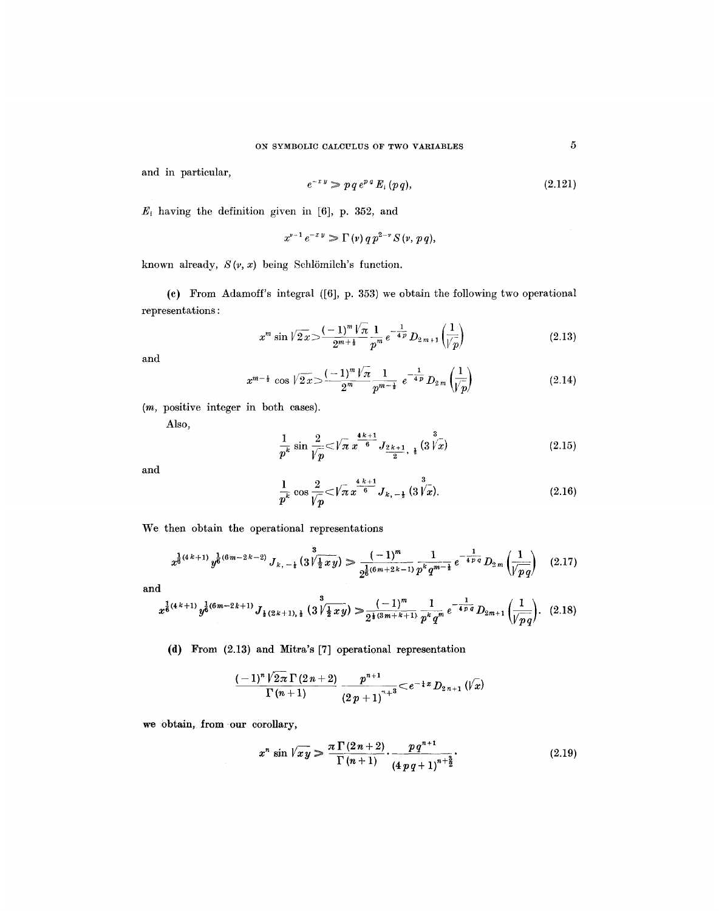and in particular,

$$
e^{-xy} \geqslant p q \, e^{p \, q} \, E_i \left( p \, q \right), \tag{2.121}
$$

 $E_{i}$  having the definition given in [6], p. 352, and

$$
x^{\nu-1}e^{-x y}\geqslant \Gamma(\nu) q p^{2-\nu} S(\nu, p q),
$$

known already,  $S(y, x)$  being Schlömilch's function.

(e) From Adamoff's integral ([6], p. 353) we obtain the following two operational representations :

$$
x^m \sin \sqrt{2x} > \frac{(-1)^m \sqrt{\pi}}{2^{m+\frac{1}{2}}} \frac{1}{p^m} e^{-\frac{1}{4p}} D_{2m+1} \left(\frac{1}{\sqrt{p}}\right)
$$
 (2.13)

and

$$
x^{m-\frac{1}{2}} \cos \sqrt{2x} > \frac{(-1)^m \sqrt{\pi}}{2^m} \frac{1}{p^{m-\frac{1}{2}}} e^{-\frac{1}{4p}} D_{2m} \left(\frac{1}{\sqrt{\rho}}\right)
$$
 (2.14)

*(m,* positive integer in both cases).

Also,

$$
\frac{1}{p^k} \sin \frac{2}{\sqrt{p}} \ll \sqrt{\pi} \ x^{\frac{4k+1}{6}} J_{\frac{2k+1}{2}, \frac{1}{4}}(3 \sqrt{\frac{3}{x}})
$$
\n(2.15)

and

$$
\frac{1}{p^k} \cos \frac{2}{\sqrt{p}} < \sqrt{\pi} \, x^{\frac{4 \cdot k + 1}{6}} J_{k, \, -\frac{1}{2}} \left( 3 \, \sqrt{\frac{3}{x}} \right).
$$
\n(2.16)

We then obtain the operational representations

$$
x^{\frac{1}{6}(4k+1)}y^{\frac{1}{6}(6m-2k-2)}J_{k,-\frac{1}{4}}(3\sqrt{\frac{1}{2}xy}) \geq \frac{(-1)^m}{2^{\frac{1}{6}(6m+2k-1)}}\frac{1}{p^kq^{m-\frac{1}{2}}}e^{-\frac{1}{4p\cdot q}}D_{2m}\left(\frac{1}{\sqrt{pq}}\right) \quad (2.17)
$$

and

$$
x^{\frac{1}{6}(4k+1)}y^{\frac{1}{6}(6m-2k+1)}J_{\frac{1}{2}(2k+1),\frac{1}{2}}(3\sqrt[3]{\frac{1}{2}xy}) \geq \frac{(-1)^m}{2^{\frac{1}{6}(3m+k+1)}}\frac{1}{p^kq^m}e^{-\frac{1}{4pq}}D_{2m+1}\left(\frac{1}{\sqrt{pq}}\right). (2.18)
$$

(d) From (2.13) and Mitra's [7] operational representation

$$
\frac{(-1)^n\sqrt{2\pi}\,\Gamma\,(2\,n+2)}{\Gamma\,(n+1)}\,\frac{p^{n+1}}{(2\,p+1)^{n+3}}\!<\!e^{-\frac{1}{4}\,x}\,D_{2\,n+1}\,(\!/\overline{x})
$$

we obtain, from our corollary,

$$
x^{n} \sin \sqrt{xy} \geqslant \frac{\pi \Gamma(2n+2)}{\Gamma(n+1)} \cdot \frac{p q^{n+1}}{(4 p q + 1)^{n+\frac{3}{2}}}.
$$
\n(2.19)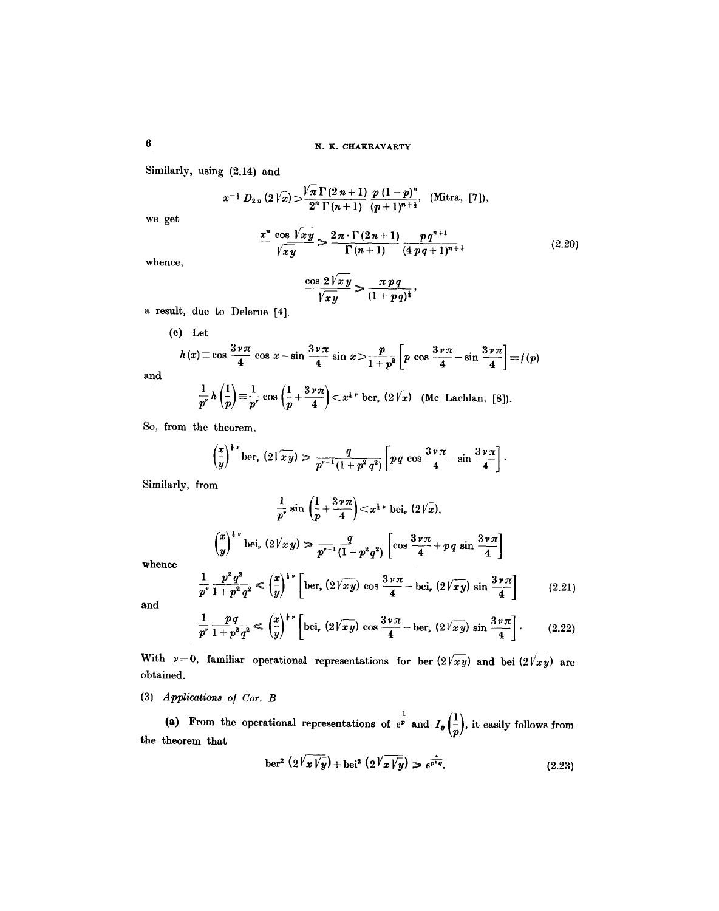Similarly, using (2.14) and

 $\int_{Q_1}{\sqrt{n}}$   $\sqrt{\pi}\Gamma(2n+1)$   $p(1-p)$  $x^{-\frac{1}{2}} D_{2n} (2Vx) > \frac{x^{\frac{1}{2}} (2n+1)}{2^n \Gamma(n+1)} \frac{p(1-p)}{(p+1)^{n+\frac{1}{2}}},$  (Mitra, [7]),

we get

$$
\frac{x^n \cos \sqrt{xy}}{\sqrt{xy}} \ge \frac{2\pi \cdot \Gamma(2n+1)}{\Gamma(n+1)} \frac{pq^{n+1}}{(4pq+1)^{n+\frac{1}{2}}}
$$
\n(2.20)

whence,

$$
\frac{\cos 2\sqrt{xy}}{\sqrt{xy}} > \frac{\pi pq}{(1+pq)^{\frac{1}{2}}},
$$

a result, due to Delerue [4].

(e) Let  
\n
$$
h(x) \equiv \cos \frac{3 \nu \pi}{4} \cos x - \sin \frac{3 \nu \pi}{4} \sin x > \frac{p}{1 + p^2} \left[ p \cos \frac{3 \nu \pi}{4} - \sin \frac{3 \nu \pi}{4} \right] \equiv f(p)
$$
\nand\n
$$
\frac{1}{p^r} h\left(\frac{1}{p}\right) \equiv \frac{1}{p^r} \cos \left(\frac{1}{p} + \frac{3 \nu \pi}{4}\right) < x^{1-r} \text{ ber, } (2\sqrt{x}) \text{ (Mc Lachlan, [8]).}
$$

So, from the theorem,

$$
\left(\frac{x}{y}\right)^{1-\nu} \text{ber, } (2\sqrt{xy}) \geq \frac{q}{p^{\nu-1}(1+p^2q^2)} \left[ pq \cos \frac{3\nu\pi}{4} - \sin \frac{3\nu\pi}{4} \right].
$$

Similarly, from

$$
\frac{1}{p^{\nu}} \sin\left(\frac{1}{p} + \frac{3\nu\pi}{4}\right) < x^{\frac{1}{2}\nu} \text{ bei, } (2\sqrt{x}),
$$

$$
\left(\frac{x}{y}\right)^{\frac{1}{2}\nu} \text{bei, } (2\sqrt{x}y) > \frac{q}{p^{\nu-1}(1+p^2q^2)} \left[\cos\frac{3\nu\pi}{4} + pq\sin\frac{3\nu\pi}{4}\right]
$$

$$
p^2q^2 = (x)^{\frac{1}{2}\nu} \left[\cos\left(\frac{3\nu\pi}{4}\right) + \cos\left(\frac{3\nu\pi}{4}\right) + \cos\left(\frac{3\nu\pi}{4}\right)\right]
$$

whence

$$
\frac{1}{p^{\nu}} \frac{p^2 q^2}{1 + p^2 q^2} \le \left(\frac{x}{y}\right)^{1 \nu} \left[ \text{ber}_r \left(2 \sqrt{xy}\right) \cos \frac{3 \nu \pi}{4} + \text{bei}_r \left(2 \sqrt{xy}\right) \sin \frac{3 \nu \pi}{4} \right] \tag{2.21}
$$

and

$$
\frac{1}{p'}\frac{pq}{1+p^2q^2} \le \left(\frac{x}{y}\right)^{1'}\left[\text{bei}_r\left(2\sqrt{xy}\right)\cos\frac{3\nu\pi}{4}-\text{ber}_r\left(2\sqrt{xy}\right)\sin\frac{3\nu\pi}{4}\right].\tag{2.22}
$$

With  $v=0$ , familiar operational representations for ber  $\left(2\sqrt{xy}\right)$  and bei  $\left(2\sqrt{xy}\right)$  are obtained.

(3) *Applications of Cor. B* 

 $\frac{1}{2}$   $\frac{1}{2}$   $\frac{1}{2}$ (a) From the operational representations of  $e^p$  and  $I_0 \rvert \rvert$ , it easily follows from the theorem that

$$
\text{ber}^2\left(2\sqrt{x}\sqrt{y}\right) + \text{bei}^2\left(2\sqrt{x}\sqrt{y}\right) \geq e^{\frac{1}{p^*q}}.\tag{2.23}
$$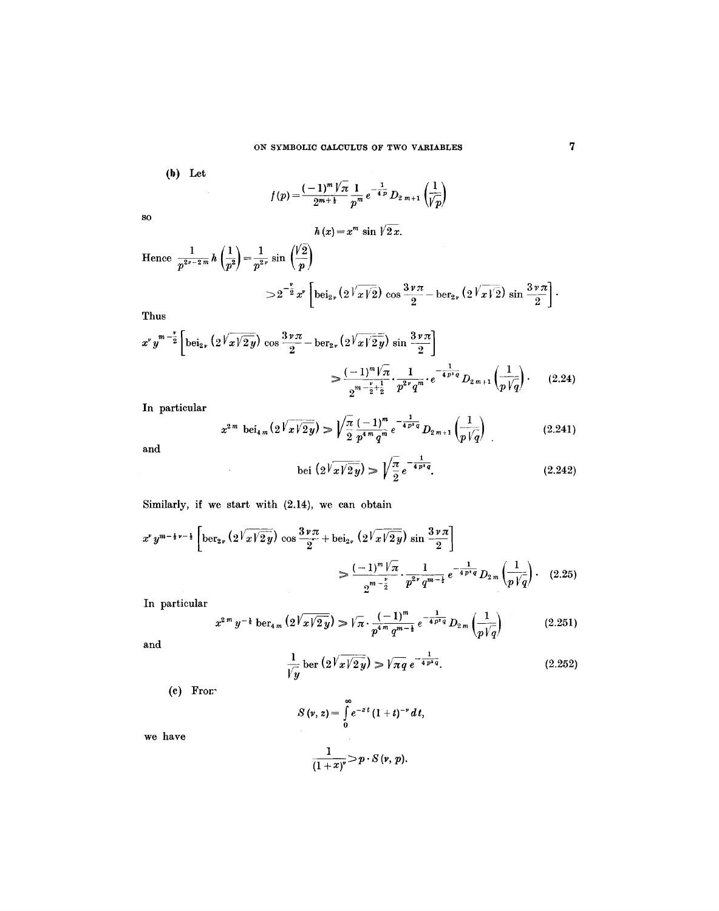(b) Let

$$
f(p) = \frac{(-1)^m \sqrt{\pi}}{2^{m+\frac{1}{2}}} \frac{1}{p^m} e^{-\frac{1}{4p}} D_{2m+1} \left(\frac{1}{\sqrt{p}}\right)
$$

SO

$$
h(x)=x^m\,\sin\,\sqrt{2\,x}.
$$

Hence 
$$
\frac{1}{p^{2\nu-2m}} h\left(\frac{1}{p^2}\right) = \frac{1}{p^{2\nu}} \sin\left(\frac{\sqrt{2}}{p}\right)
$$
  

$$
> 2^{-\frac{\nu}{2}} x^{\nu} \left[ \text{bei}_{2\nu} (2^{\frac{\nu}{2}} \sqrt{\frac{\nu}{2}}) \cos\frac{3\nu\pi}{2} - \text{ber}_{2\nu} (2^{\frac{\nu}{2}} \sqrt{\frac{\nu}{2}}) \sin\frac{3\nu\pi}{2} \right].
$$

Thus

$$
x^{\nu} y^{m-\frac{\nu}{2}} \left[ b e i_{2\nu} \left( 2 \sqrt{\frac{\nu}{\frac{\nu}{2} y}} \right) \cos \frac{3 \nu \pi}{2} - b e r_{2\nu} \left( 2 \sqrt{\frac{\nu}{\frac{\nu}{2} y}} \right) \sin \frac{3 \nu \pi}{2} \right]
$$
  

$$
> \frac{(-1)^{m} \sqrt{\pi}}{2^{m-\frac{\nu}{2}+\frac{1}{2}}} \cdot \frac{1}{p^{2\nu} q^{m}} \cdot e^{-\frac{1}{4 p + q}} D_{2m+1} \left( \frac{1}{p \sqrt{q}} \right). \tag{2.24}
$$

In particular

$$
x^{2m} \text{ bei}_{4m} \left( 2 \sqrt{x \sqrt{2y}} \right) \gg \sqrt{\frac{\pi}{2}} \frac{(-1)^m}{p^{4m} q^m} e^{-\frac{1}{4p^2 q}} D_{2m+1} \left( \frac{1}{p \sqrt{q}} \right) \tag{2.241}
$$

and

bei 
$$
\left(2\sqrt{x\sqrt{2y}}\right) \gg \sqrt{\frac{\pi}{2}} e^{-\frac{1}{4p^2q}}
$$
. (2.242)

Similarly, if we start with (2.14), we can obtain

 $\sim$   $\sim$ 

$$
x^{\nu} y^{m-\frac{1}{2}\nu-\frac{1}{2}} \left[ \operatorname{ber}_{2\nu} \left( 2\sqrt{x\sqrt{2y}} \right) \cos \frac{3\nu \pi}{2} + \operatorname{bei}_{2\nu} \left( 2\sqrt{x\sqrt{2y}} \right) \sin \frac{3\nu \pi}{2} \right]
$$
  

$$
\geq \frac{(-1)^m \sqrt{\pi}}{2^{m-\frac{\nu}{2}}} \cdot \frac{1}{p^{2\nu} q^{m-\frac{1}{2}}} e^{-\frac{1}{4p^{\nu}q}} D_{2m} \left( \frac{1}{p\sqrt{q}} \right). \quad (2.25)
$$

In particular

$$
x^{2^{m}} y^{-\frac{1}{2}} \operatorname{ber}_{4m} \left( 2^{\sqrt[3]{x\sqrt{2y}}} \right) \ge \sqrt{\pi} \cdot \frac{(-1)^{m}}{p^{4m} q^{m-\frac{1}{2}}} e^{-\frac{1}{4p^{2}q}} D_{2m} \left( \frac{1}{p\sqrt{q}} \right) \tag{2.251}
$$

and

$$
\frac{1}{\sqrt{y}}\,\text{ber}\left(2\sqrt[3]{x\sqrt{2y}}\right) \gg \sqrt{\pi q} \,e^{-\frac{1}{4p^2q}}.\tag{2.252}
$$

(e) Fror,-

$$
S(v, z) = \int_{0}^{\infty} e^{-zt} (1+t)^{-v} dt,
$$
  

$$
\frac{1}{(1+x)^{v}} > p \cdot S(v, p).
$$

we have

$$
\frac{1}{(1+x)^{r}} > p \cdot S\left(v, p\right).
$$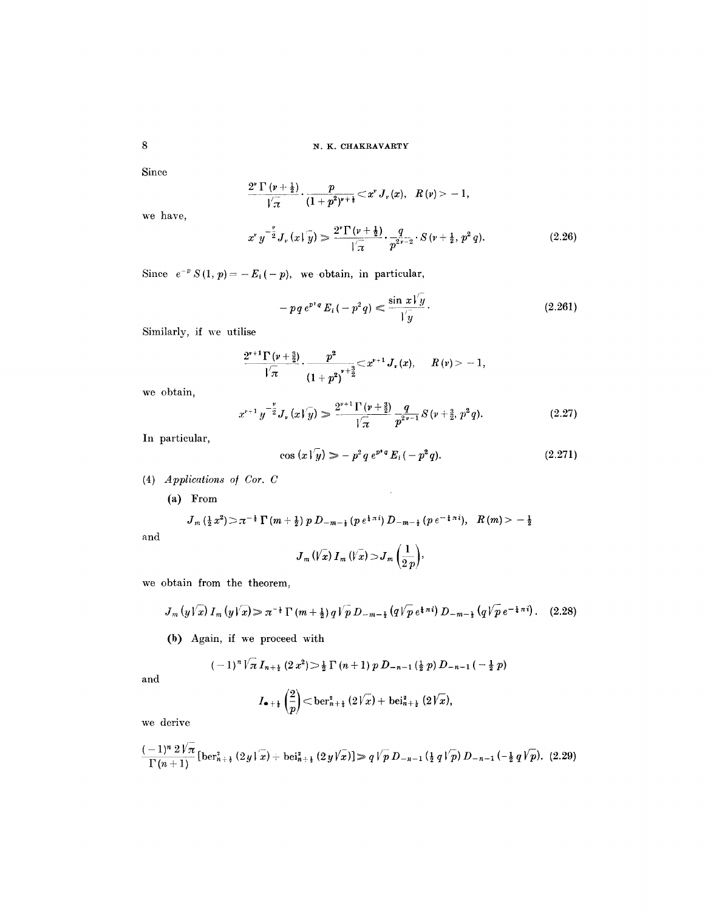**8 8 N. K. CHAKRAVARTY** 

Since

$$
\frac{2^{\nu}\Gamma(\nu+\frac{1}{2})}{\sqrt{\pi}}\cdot\frac{p}{(1+p^{2})^{\nu+\frac{1}{2}}}\!<\!x^{\nu}\,J_{\nu}(x), R(\nu)\!>\!-1,
$$

we have,

$$
x^{\nu} y^{-\frac{\nu}{2}} J_{\nu}(x|\overline{y}) \geq \frac{2^{\nu} \Gamma(\nu + \frac{1}{2})}{|\overline{x}|} \cdot \frac{q}{p^{2\overline{\nu}-2}} \cdot S(\nu + \frac{1}{2}, p^{2} q). \tag{2.26}
$$

Since  $e^{-p} S(1, p) = -E_i(-p)$ , we obtain, in particular,

$$
-pq e^{p^2 q} E_i(-p^2 q) \leq \frac{\sin x \sqrt{y}}{\sqrt{y}}.
$$
 (2.261)

Similarly, if we utilise

$$
\frac{2^{r+1} \Gamma\left(\nu + \frac{3}{2}\right)}{\sqrt{\pi}} \cdot \frac{p^2}{\left(1+p^2\right)^{r+\frac{3}{2}}} \leq x^{r+1} J_r(x), \quad R(v) > -1,
$$

we obtain,

$$
x^{r+1} y^{-\frac{\nu}{2}} J_{\nu} (x \sqrt{\nu}) \gg \frac{2^{r+1} \Gamma(\nu+\frac{3}{2})}{\sqrt{\pi}} \frac{q}{p^{2r-1}} S(\nu+\frac{3}{2}, p^2 q). \tag{2.27}
$$

 $\ddot{\phantom{a}}$ 

In particular,

$$
\cos(x\sqrt{y}) \gg -p^2 q \, e^{p^*q} \, E_i \, (-p^2 q). \tag{2.271}
$$

(4) *Applications o/ Cot. C* 

(a) From

$$
J_{m}(\frac{1}{2}x^{2}) > \pi^{-\frac{1}{2}}\Gamma(m+\frac{1}{2}) p D_{-m-\frac{1}{2}}(p e^{\frac{1}{4}\pi i}) D_{-m-\frac{1}{2}}(p e^{-\frac{1}{4}\pi i}), R(m) > -\frac{1}{2}
$$

and

$$
J_m(\sqrt{x}) I_m(\sqrt{x}) > J_m\left(\frac{1}{2p}\right),\,
$$

we obtain from the theorem,

$$
J_m(y\sqrt{x}) I_m(y\sqrt{x}) \gg \pi^{-\frac{1}{2}} \Gamma(m+\frac{1}{2}) q \sqrt{p} D_{-m-\frac{1}{2}}(q \sqrt{p} e^{\frac{1}{4}\pi i}) D_{-m-\frac{1}{2}}(q \sqrt{p} e^{-\frac{1}{4}\pi i}). \quad (2.28)
$$

(b) Again, if we proceed with

$$
(-1)^n \sqrt[n]{\pi} I_{n+\frac{1}{2}} (2x^2) \geq \frac{1}{2} \Gamma(n+1) p D_{-n-1} (\frac{1}{2} p) D_{-n-1} (-\frac{1}{2} p)
$$

and

$$
I_{\bullet+\frac{1}{2}}\left(\frac{2}{p}\right)<\text{ber}^2_{n+\frac{1}{2}}(2\sqrt{x})+\text{bei}^2_{n+\frac{1}{2}}(2\sqrt{x}),
$$

we derive

$$
\frac{(-1)^n 2\sqrt[n]{\pi}}{\Gamma(n+1)}\left[\text{ber}_{n+\frac{1}{2}}^2(2y\sqrt{\pi})+\text{bei}_{n+\frac{1}{2}}^2(2y\sqrt{\pi})\right] \geq q\sqrt{p} D_{-n-1}\left(\frac{1}{2}q\sqrt{p}\right) D_{-n-1}\left(-\frac{1}{2}q\sqrt{p}\right). (2.29)
$$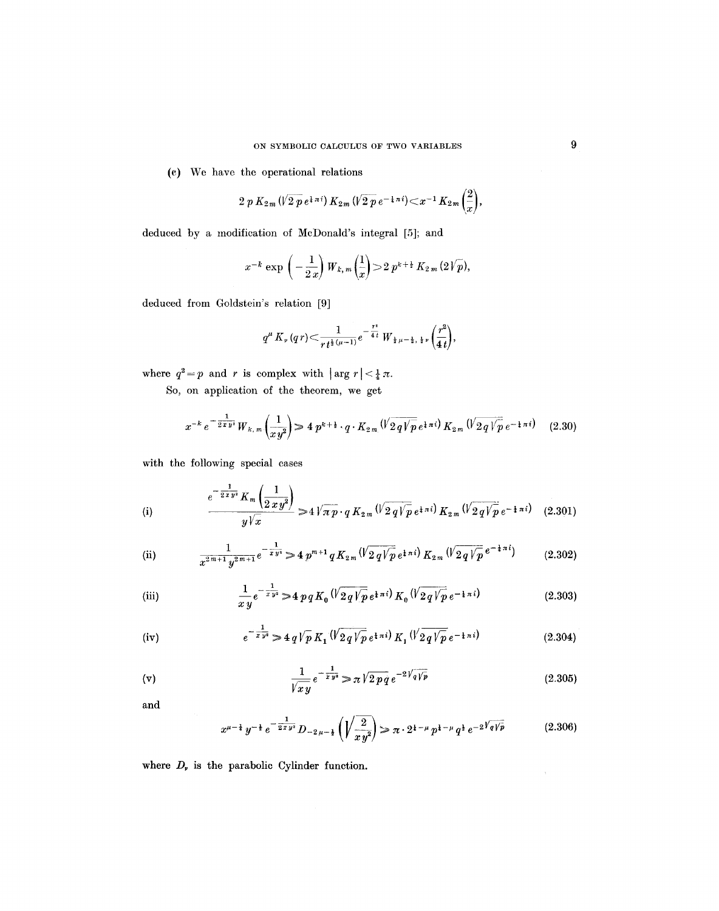(c) We have the operational relations

$$
2 p K_{2m} (\sqrt{2 p} e^{i \pi i}) K_{2m} (\sqrt{2 p} e^{-i \pi i}) \! < \! x^{-1} K_{2m} \left( \frac{2}{x} \right),
$$

deduced by a modification of McDonald's integral [5]; and

$$
x^{-k} \exp \left(-\frac{1}{2 x}\right) W_{k, m}\left(\frac{1}{x}\right) > 2 p^{k+\frac{1}{2}} K_{2 m} (2 \sqrt{p}),
$$

deduced from Goldstein's relation [9]

$$
q^{\mu} K_{\nu} (q r) \leq \frac{1}{r t^{\frac{1}{2} (\mu -1)}} e^{- \frac{r^2}{4 t}} W_{\frac{1}{2} \mu - \frac{1}{2}, \frac{1}{2} \nu} \left( \frac{r^2}{4 t} \right),
$$

where  $q^2 = p$  and r is complex with  $|\arg r| < \frac{1}{4}\pi$ .

So, on application of the theorem, we get

$$
x^{-k} e^{-\frac{1}{2\pi y^{i}}} W_{k,m} \left(\frac{1}{xy^{2}}\right) \geq 4 p^{k+\frac{1}{2}} \cdot q \cdot K_{2,m} \left(\sqrt{2q} \sqrt{p} e^{\frac{1}{4}\pi i}\right) K_{2,m} \left(\sqrt{2q} \sqrt{p} e^{-\frac{1}{4}\pi i}\right) \tag{2.30}
$$

with the following special cases

(i) 
$$
\frac{e^{-\frac{1}{2xy}}K_m\left(\frac{1}{2xy^2}\right)}{y\sqrt{x}} \gg 4\sqrt{\pi p} \cdot q K_{2m} \left(\sqrt{2q\sqrt{p}} e^{i\pi i}\right) K_{2m} \left(\sqrt{2q\sqrt{p}} e^{-i\pi i}\right) \quad (2.301)
$$

(ii) 
$$
\frac{1}{x^{2m+1}y^{2m+1}}e^{-\frac{1}{xy^{2}}} \geq 4 p^{m+1} q K_{2m} (\sqrt{2q} \sqrt{p} e^{i\pi i}) K_{2m} (\sqrt{2q} \sqrt{p} e^{-i\pi i})
$$
 (2.302)

(iii) 
$$
\frac{1}{xy}e^{-\frac{1}{xy}} > 4 p q K_0 \left(\sqrt{2q\sqrt{p}} e^{\frac{1}{4} \pi i}\right) K_0 \left(\sqrt{2q\sqrt{p}} e^{-\frac{1}{4} \pi i}\right)
$$
(2.303)

(iv) 
$$
e^{-\frac{1}{xy^{2}}} \geq 4 q \sqrt{p} K_{1} \left(\sqrt{2 q \sqrt{p}} e^{\frac{1}{4} \pi i}\right) K_{1} \left(\sqrt{2 q \sqrt{p}} e^{-\frac{1}{4} \pi i}\right)
$$
(2.304)

(v) 
$$
\frac{1}{\sqrt{xy}}e^{-\frac{1}{xy}} \gg \pi \sqrt{2pq}e^{-2\sqrt{q}\sqrt{p}}
$$
 (2.305)

and

$$
x^{\mu - \frac{1}{2}} y^{-\frac{1}{2}} e^{-\frac{1}{2xy^2}} D_{-2\mu - \frac{1}{2}} \left( \sqrt{\frac{2}{xy^2}} \right) \gg \pi \cdot 2^{\frac{1}{2} - \mu} p^{\frac{1}{2} - \mu} q^{\frac{1}{2}} e^{-2\sqrt{q/p}} \tag{2.306}
$$

where  $D_r$  is the parabolic Cylinder function.

 $\mathbf{y}$  .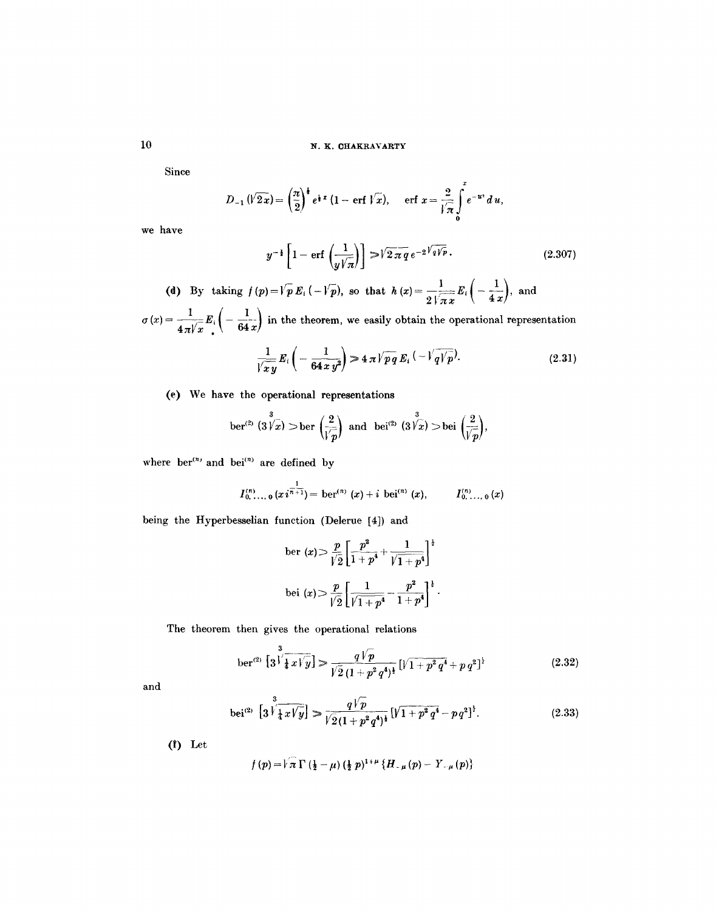**10 N. K. CHAKRAVARTY** 

Since

$$
D_{-1}(\sqrt{2x}) = \left(\frac{\pi}{2}\right)^{\frac{1}{2}}e^{\frac{1}{2}x}(1 - \text{erf }\sqrt{x}), \quad \text{erf } x = \frac{2}{\sqrt{\pi}}\int_{0}^{x}e^{-u^{2}}du,
$$

we have

$$
y^{-1}\left[1-\operatorname{erf}\left(\frac{1}{y\sqrt{\pi}}\right)\right] \gg \sqrt{2\pi q} \, e^{-2\sqrt{q}\sqrt{p}}.\tag{2.307}
$$

(d) By taking  $f(p) = \sqrt{p} E_i \left( - \sqrt{p} \right)$ , so that  $h(x) = \frac{1}{2 \sqrt{2 \pi x}} E_i \left( - \frac{1}{4x} \right)$ , and

 $\sigma(x) = \frac{1}{4\pi\sqrt{x}} E_i \left( -\frac{1}{64x} \right)$  in the theorem, we easily obtain the operational representation

$$
\frac{1}{\sqrt{xy}}E_i\left(-\frac{1}{64\,xy^2}\right) \geq 4\,\pi\sqrt{pq}\,E_i\left(-\sqrt{q\sqrt{p}}\right).
$$
\n(2.31)

(e) We have the operational representations

$$
\operatorname{ber}^{(2)}\left(3\overset{3}{\cancel{|}}\overset{\_}{x}\right) > \operatorname{ber}\left(\frac{2}{\overset{\_}{\cancel{|}}\overset{\_}{p}}\right) \text{ and } \operatorname{bei}^{(2)}\left(3\overset{3}{\cancel{|}}\overset{\_}{x}\right) > \operatorname{bei}\left(\frac{2}{\overset{\_}{\cancel{|}}\overset{\_}{p}}\right),
$$

where  $ber^{(n)}$  and  $bei^{(n)}$  are defined by

$$
I_{0,\ldots,0}^{(n)}(x i^{\frac{1}{n+1}}) = \operatorname{ber}^{(n)}(x) + i \operatorname{bei}^{(n)}(x), \qquad I_{0,\ldots,0}^{(n)}(x)
$$

being the Hyperbesselian function (Delerue [4]) and

$$
\text{ber } (x) > \frac{p}{\sqrt{2}} \left[ \frac{p^2}{1+p^4} + \frac{1}{\sqrt{1+p^4}} \right]^{\frac{1}{2}}
$$
\n
$$
\text{bei } (x) > \frac{p}{\sqrt{2}} \left[ \frac{1}{\sqrt{1+p^4}} - \frac{p^2}{1+p^4} \right]^{\frac{1}{2}}.
$$

The theorem then gives the operational relations

 $\overline{a}$ 

ber<sup>(2)</sup> 
$$
\left[3\sqrt[3]{\frac{1}{4}x\sqrt[3]{y}}\right] \gg \frac{q\sqrt{p}}{\sqrt{2}(1+p^2q^4)^{\frac{1}{2}}} \left[\sqrt{1+p^2q^4}+p\,q^2\right]^{\frac{1}{2}}
$$
 (2.32)

and

$$
\text{bei}^{(2)} \left[ 3 \sqrt[3]{\frac{1}{4} x \sqrt[3]{y}} \right] \gg \frac{q \sqrt{p}}{\sqrt{2} (1 + p^2 q^4)^{\frac{1}{2}}} \left[ \sqrt{1 + p^2 q^4} - p q^2 \right]^{\frac{1}{2}}.
$$
\n(2.33)

 $(f)$  Let

$$
f(p) = \sqrt[n]{\pi} \Gamma(\frac{1}{2} - \mu) (\frac{1}{2} p)^{1+\mu} \{H_{-\mu}(p) - Y_{-\mu}(p)\}
$$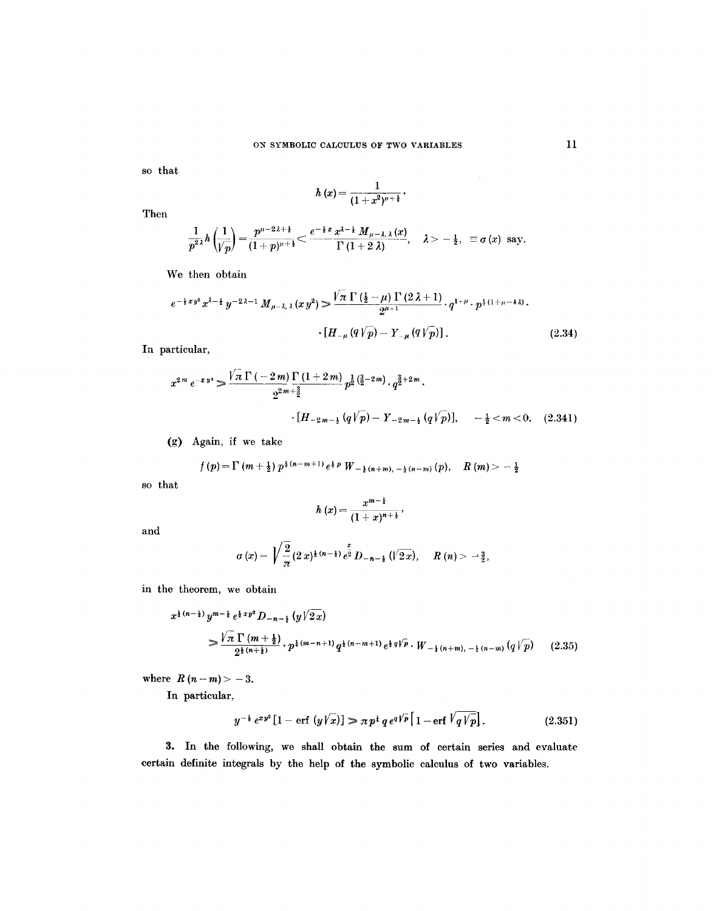so that

$$
h(x)=\frac{1}{(1+x^2)^{\mu+\frac{1}{2}}}\cdot
$$

Then

$$
\frac{1}{p^{2\lambda}}h\left(\frac{1}{\sqrt{p}}\right)=\frac{p^{\mu-2\lambda+\frac{1}{2}}}{(1+p)^{\mu+\frac{1}{2}}}<\frac{e^{-\frac{1}{2}x}\frac{x^{\lambda-\frac{1}{2}}}{\Gamma(1+2\lambda)},\quad \lambda>-\frac{1}{2},\quad \text{if } \sigma(x) \text{ say.}
$$

We then obtain

$$
e^{-\frac{1}{2}xy^{2}}x^{\lambda-\frac{1}{2}}y^{-2\lambda-1}M_{\mu-\lambda,\lambda}(xy^{2}) \geq \frac{\sqrt{\pi}\,\Gamma\left(\frac{1}{2}-\mu\right)\,\Gamma\left(2\,\lambda+1\right)}{2^{\mu+1}}\cdot q^{1+\mu}\cdot p^{\frac{1}{2}\left(1+\mu-4\,\lambda\right)}.
$$
\n
$$
\cdot\left[H_{-\mu}\left(q\,\sqrt{p}\right)-Y_{-\mu}\left(q\,\sqrt{p}\right)\right].\tag{2.34}
$$

In particular,

$$
x^{2m} e^{-xy} \ge \frac{\sqrt{\pi} \Gamma(-2m)}{2^{2m+\frac{3}{2}}} \frac{\Gamma(1+2m)}{2^{\frac{3}{2}+\frac{3}{2}}} p^{\frac{3}{2}(\frac{3}{2}-2m)} \cdot q^{\frac{3}{2}+2m} \cdot \frac{1}{2^{\frac{3}{2}+2m}} \cdot \frac{1}{2^{\frac{3}{2}+2m}} \cdot \frac{1}{2^{\frac{3}{2}+2m}} \cdot \frac{1}{2^{\frac{3}{2}+2m}} \cdot \frac{1}{2^{\frac{3}{2}+2m}} \cdot \frac{1}{2^{\frac{3}{2}+2m}} \cdot \frac{1}{2^{\frac{3}{2}+2m}} \cdot \frac{1}{2^{\frac{3}{2}+2m}} \cdot \frac{1}{2^{\frac{3}{2}+2m}} \cdot \frac{1}{2^{\frac{3}{2}+2m}} \cdot \frac{1}{2^{\frac{3}{2}+2m}} \cdot \frac{1}{2^{\frac{3}{2}+2m}} \cdot \frac{1}{2^{\frac{3}{2}+2m}} \cdot \frac{1}{2^{\frac{3}{2}+2m}} \cdot \frac{1}{2^{\frac{3}{2}+2m}} \cdot \frac{1}{2^{\frac{3}{2}+2m}} \cdot \frac{1}{2^{\frac{3}{2}+2m}} \cdot \frac{1}{2^{\frac{3}{2}+2m}} \cdot \frac{1}{2^{\frac{3}{2}+2m}} \cdot \frac{1}{2^{\frac{3}{2}+2m}} \cdot \frac{1}{2^{\frac{3}{2}+2m}} \cdot \frac{1}{2^{\frac{3}{2}+2m}} \cdot \frac{1}{2^{\frac{3}{2}+2m}} \cdot \frac{1}{2^{\frac{3}{2}+2m}} \cdot \frac{1}{2^{\frac{3}{2}+2m}} \cdot \frac{1}{2^{\frac{3}{2}+2m}} \cdot \frac{1}{2^{\frac{3}{2}+2m}} \cdot \frac{1}{2^{\frac{3}{2}+2m}} \cdot \frac{1}{2^{\frac{3}{2}+2m}} \cdot \frac{1}{2^{\frac{3}{2}+2m}} \cdot \frac{1}{2^{\frac{3}{2}+2m}} \cdot \frac{1}{2^{\frac{3}{2}+2m}} \cdot \frac{1}{2^{\frac{3}{2}+2m}} \cdot
$$

(g) Again, if we take

$$
f(p) = \Gamma(m + \frac{1}{2}) p^{\frac{1}{2}(n-m+1)} e^{\frac{1}{2} p} W_{-\frac{1}{2}(n+m), -\frac{1}{2}(n-m)}(p), \quad R(m) > -\frac{1}{2}
$$

so that

$$
h(x)=\frac{x^{m-\frac{1}{2}}}{(1+x)^{n+\frac{1}{2}}},
$$

and

$$
\sigma(x) = \sqrt{\frac{2}{\pi}} (2 x)^{\frac{1}{2}(n-\frac{1}{2})} e^{\frac{x}{2}} D_{-n-\frac{1}{2}}(\sqrt{2 x}), \quad R(n) > -\frac{3}{2},
$$

in the theorem, we obtain

$$
x^{\frac{1}{2}(n-\frac{1}{2})} y^{m-\frac{1}{2}} e^{\frac{1}{2}xy^2} D_{-n-\frac{1}{2}}(y\sqrt{2x})
$$
  
\n
$$
\frac{\sqrt{\pi} \Gamma(m+\frac{1}{2})}{2^{\frac{1}{2}(n+\frac{1}{2})}} \cdot p^{\frac{1}{2}(m-n+1)} q^{\frac{1}{2}(n-m+1)} e^{\frac{1}{2}q\sqrt{p}} \cdot W_{-\frac{1}{2}(n+m),-\frac{1}{2}(n-m)}(q\sqrt{p})
$$
(2.35)

where  $R (n - m) > -3$ .

In particular,

$$
y^{-\frac{1}{2}} e^{xy^2} [1 - \text{erf } (y\sqrt{x})] \gg \pi p^{\frac{1}{2}} q e^{q\sqrt{p}} [1 - \text{erf } \sqrt{q \sqrt{p}}]. \tag{2.351}
$$

3. In the following, we shall obtain the sum of certain series and evaluate certain definite integrals by the help of the symbolic calculus of two variables.

 $\sim$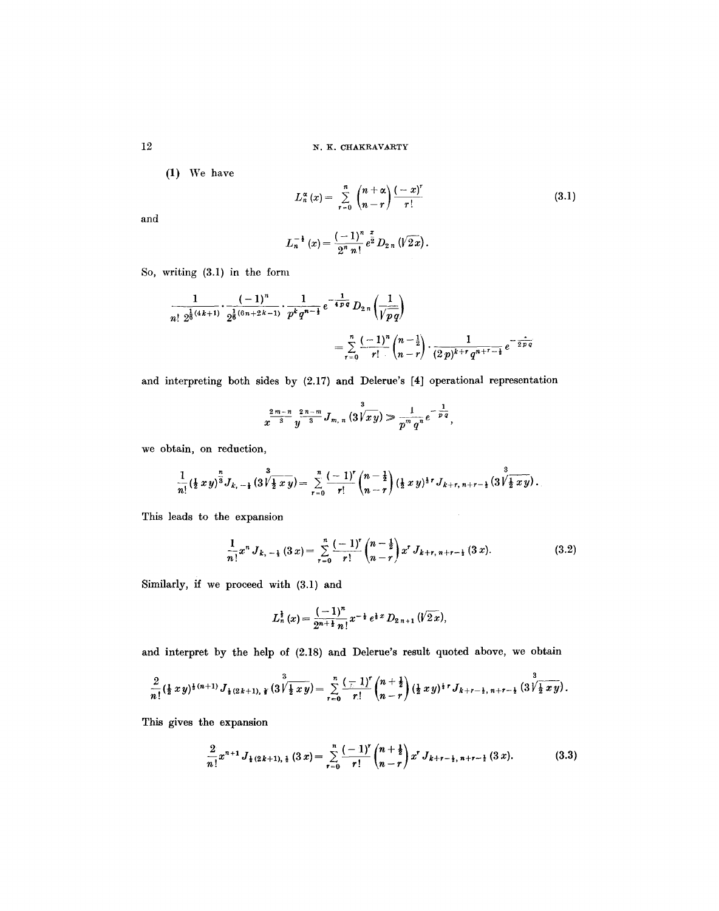12 N. K. CHAKRAVARTY

(1) We have

 $L_n^{\alpha}(x) = \sum_{r=0}^{\infty} {n-r \choose n-r} \frac{x}{r!}$ (3.1)

and

$$
L_n^{-\frac{1}{2}}(x) = \frac{(-1)^n}{2^n n!} e^{\frac{x}{2}} D_{2n} (\sqrt{2x}).
$$

So, writing (3.1) in the form

$$
\frac{1}{n! \ 2^{\frac{1}{6}(4k+1)}} \cdot \frac{(-1)^n}{2^{\frac{1}{6}(6n+2k-1)}} \cdot \frac{1}{p^k q^{n-\frac{1}{2}}} e^{-\frac{1}{4pq}} D_{2n} \left(\frac{1}{\sqrt{pq}}\right)
$$

$$
= \sum_{r=0}^n \frac{(-1)^n}{r!} {n-\frac{1}{2} \choose n-r} \cdot \frac{1}{(2p)^{k+r} q^{n+r-\frac{1}{2}}} e^{-\frac{1}{2pq}}
$$

and interpreting both sides by (2.17) and Delerue's [4] operational representation

$$
x^{\frac{2m-n}{3}}y^{\frac{2n-m}{3}}J_{m,n}(3\sqrt{x y}) \gg \frac{1}{p^m q^n}e^{-\frac{1}{p\overline{q}}},
$$

we obtain, on reduction,

$$
\frac{1}{n!}(\frac{1}{2}xy)^{\frac{n}{3}}J_{k,-\frac{1}{2}}(3\sqrt{\frac{1}{2}xy})=\sum_{r=0}^{n}\frac{(-1)^{r}}{r!}\binom{n-\frac{1}{2}}{n-r}(\frac{1}{2}xy)^{\frac{1}{2}r}J_{k+r,\,n+r-\frac{1}{2}}(3\sqrt{\frac{3}{2}xy}).
$$

This leads to the expansion

$$
\frac{1}{n!}x^n J_{k,-\frac{1}{2}}(3x) = \sum_{r=0}^n \frac{(-1)^r}{r!} {n-\frac{1}{2} \choose n-r} x^r J_{k+r,\,n+r-\frac{1}{2}}(3x). \tag{3.2}
$$

Similarly, if we proceed with (3.1) and

$$
L_n^{\frac{1}{2}}(x) = \frac{(-1)^n}{2^{n+\frac{1}{2}}n!}x^{-\frac{1}{2}}e^{\frac{1}{2}x} D_{2n+1}(\sqrt{2x}),
$$

and interpret by the help of (2.18) and Delerue's result quoted above, we obtain

$$
\frac{2}{n!}(\frac{1}{2}xy)^{\frac{1}{4}(n+1)}J_{\frac{1}{2}(2k+1),\frac{1}{4}}(3\sqrt[3]{\frac{1}{2}xy})=\sum_{r=0}^n\frac{(-1)^r}{r!}\binom{n+\frac{1}{2}}{n-r}(\frac{1}{2}xy)^{\frac{1}{4}r}J_{k+r-\frac{1}{2},n+r-\frac{1}{2}}(3\sqrt[3]{\frac{1}{2}xy}).
$$

This gives the expansion

$$
\frac{2}{n!}x^{n+1}J_{\frac{1}{2}(2k+1),\frac{1}{2}}(3x)=\sum_{r=0}^{n}\frac{(-1)^{r}}{r!}\binom{n+\frac{1}{2}}{n-r}x^{r}J_{k+r-\frac{1}{2},n+r-\frac{1}{2}}(3x).
$$
 (3.3)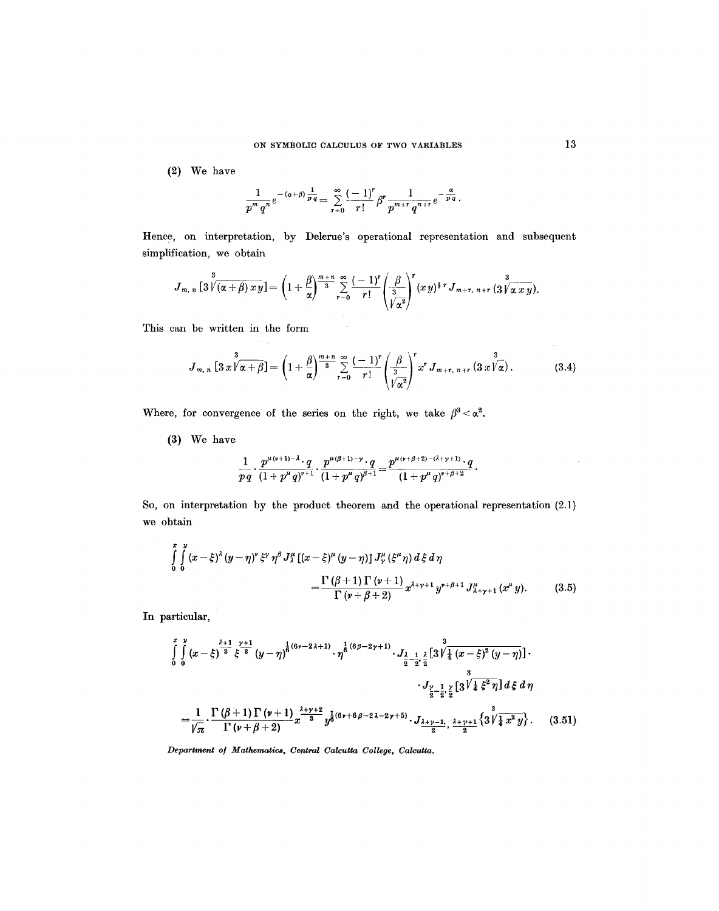(2) We have

$$
\frac{1}{p^m q^n}e^{-(\alpha+\beta)\frac{1}{p\,q}}=\sum_{r=0}^{\infty}\frac{(-1)^r}{r!}\beta^r\frac{1}{p^{m+r}q^{n+r}}e^{-\frac{\alpha}{p\,q}}.
$$

Hence, on interpretation, by Delerue's operational representation and subsequent simplification, we obtain

$$
J_{m,\;n}\left[3\overline{\sqrt{(\alpha+\beta)}\,x\,y}\right]=\left(1+\frac{\beta}{\alpha}\right)^{\frac{m+n}{3}}\sum_{r=0}^{\infty}\frac{(-1)^r}{r!}\left(\frac{\beta}{\overline{\sqrt[3]{\alpha^2}}}\right)^r(x\,y)^{\frac{1}{3}\,r}\,J_{m+r,\;n+r}\left(3\overline{\sqrt[3]{\alpha\,x\,y}}\right).
$$

This can be written in the form

$$
J_{m,\,n}\left[3\,x\,\sqrt{\alpha+\beta}\right]=\left(1+\frac{\beta}{\alpha}\right)^{\frac{m+n}{3}}\sum_{r=0}^{\infty}\frac{(-1)^r}{r!}\left(\frac{\beta}{\sqrt{\alpha^2}}\right)^r x^r\,J_{m+r,\,n+r}\left(3\,x\,\sqrt{\alpha}\right). \hspace{1cm} (3.4)
$$

Where, for convergence of the series on the right, we take  $\beta^3 < \alpha^2$ .

(3) We have

$$
\frac{1}{p\,q}\cdot\frac{p^{\mu(\nu+1)-\lambda}\cdot q}{(1+p^{\mu}q)^{\nu+1}}\cdot\frac{p^{\mu(\beta+1)-\nu}\cdot q}{(1+p^{\mu}q)^{\beta+1}}=\frac{p^{\mu(\nu+\beta+2)-(\lambda+\gamma+1)}\cdot q}{(1+p^{\mu}q)^{\nu+\beta+2}}\,.
$$

So, on interpretation by the product theorem and the operational representation (2.1) we obtain

$$
\int_{0}^{x} \int_{0}^{y} (x - \xi)^{\lambda} (y - \eta)^{r} \xi^{r} \eta^{\beta} J_{\lambda}^{\mu} [(x - \xi)^{\mu} (y - \eta)] J_{\gamma}^{\mu} (\xi^{\mu} \eta) d\xi d\eta
$$
\n
$$
= \frac{\Gamma (\beta + 1) \Gamma (\nu + 1)}{\Gamma (\nu + \beta + 2)} x^{\lambda + \nu + 1} y^{\nu + \beta + 1} J_{\lambda + \gamma + 1}^{\mu} (x^{\mu} y). \tag{3.5}
$$

In particular,

$$
\int_{0}^{x} \int_{0}^{y} (x - \xi)^{\frac{\lambda+1}{3}} \xi^{\frac{\gamma+1}{3}} (y - \eta)^{\frac{1}{6}(6\nu - 2\lambda + 1)} \cdot \eta^{\frac{1}{6}(6\beta - 2\gamma + 1)} \cdot J_{\frac{\lambda}{2} - \frac{1}{2}, \frac{\lambda}{2}} \left[3 \sqrt{\frac{3}{4} (x - \xi)^2 (y - \eta)} \right] \cdot J_{\frac{\gamma}{2} - \frac{1}{2}, \frac{\gamma}{2}} \left[3 \sqrt{\frac{3}{4} \xi^2 \eta} \right] d\xi d\eta
$$
  

$$
= \frac{1}{\sqrt{\pi}} \cdot \frac{\Gamma(\beta + 1) \Gamma(\nu + 1)}{\Gamma(\nu + \beta + 2)} x^{\frac{\lambda + \gamma + 2}{3}} y^{\frac{1}{6}(6\nu + 6\beta - 2\lambda - 2\gamma + 5)} \cdot J_{\frac{\lambda + \gamma - 1}{2}, \frac{\lambda + \gamma + 1}{2}} \left\{3 \sqrt{\frac{3}{4} x^2 y} \right\}. \tag{3.51}
$$

*Department o] Mathematics, Central Calcutta College, Calcutta.* 

 $\bar{\mathcal{A}}$